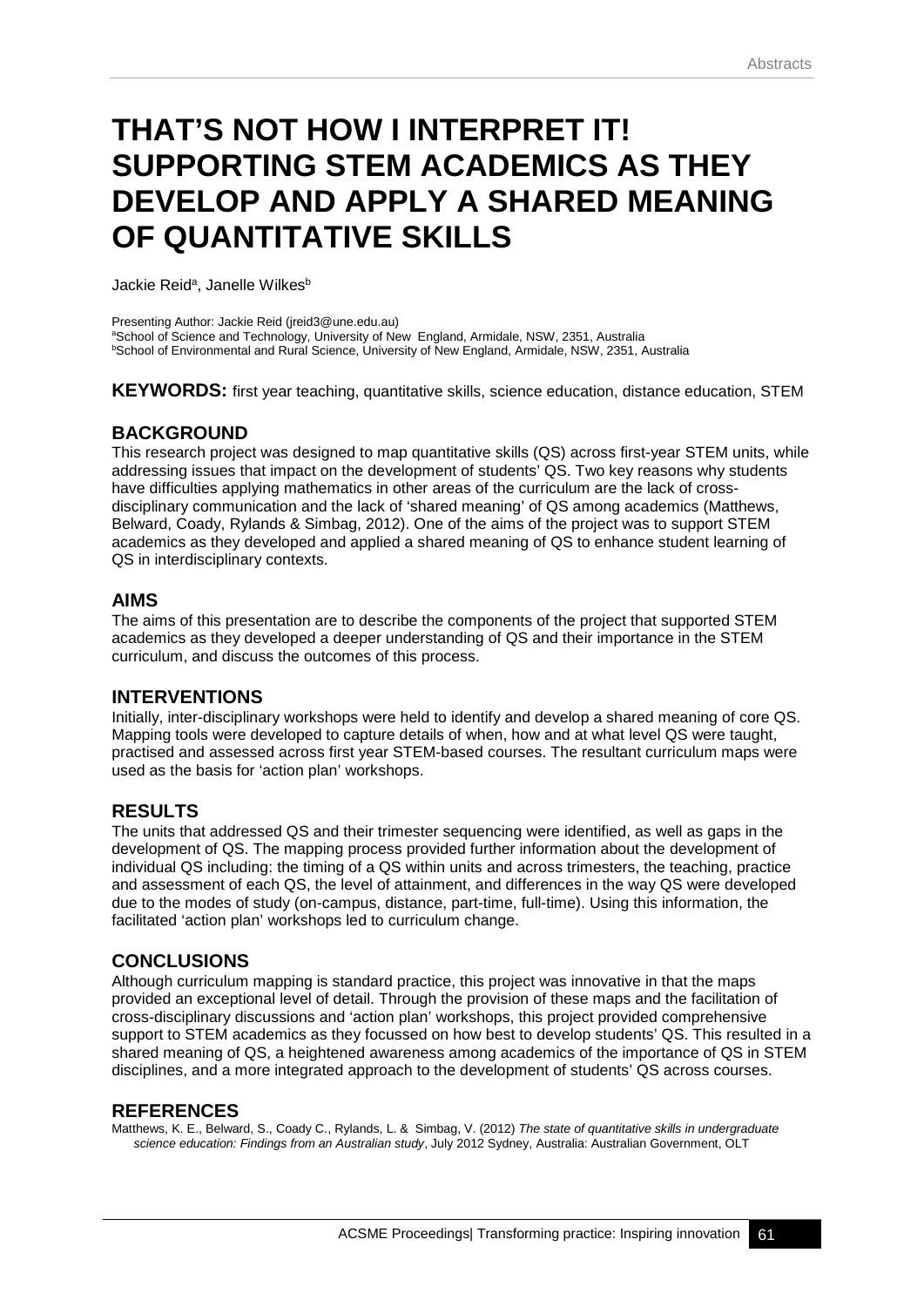# **THAT'S NOT HOW I INTERPRET IT! SUPPORTING STEM ACADEMICS AS THEY DEVELOP AND APPLY A SHARED MEANING OF QUANTITATIVE SKILLS**

Jackie Reid<sup>a</sup>, Janelle Wilkes<sup>b</sup>

Presenting Author: Jackie Reid (jreid3@une.edu.au) aSchool of Science and Technology, University of New England, Armidale, NSW, 2351, Australia b School of Environmental and Rural Science, University of New England, Armidale, NSW, 2351, Australia

**KEYWORDS:** first year teaching, quantitative skills, science education, distance education, STEM

## **BACKGROUND**

This research project was designed to map quantitative skills (QS) across first-year STEM units, while addressing issues that impact on the development of students' QS. Two key reasons why students have difficulties applying mathematics in other areas of the curriculum are the lack of crossdisciplinary communication and the lack of 'shared meaning' of QS among academics (Matthews, Belward, Coady, Rylands & Simbag, 2012). One of the aims of the project was to support STEM academics as they developed and applied a shared meaning of QS to enhance student learning of QS in interdisciplinary contexts.

## **AIMS**

The aims of this presentation are to describe the components of the project that supported STEM academics as they developed a deeper understanding of QS and their importance in the STEM curriculum, and discuss the outcomes of this process.

## **INTERVENTIONS**

Initially, inter-disciplinary workshops were held to identify and develop a shared meaning of core QS. Mapping tools were developed to capture details of when, how and at what level QS were taught, practised and assessed across first year STEM-based courses. The resultant curriculum maps were used as the basis for 'action plan' workshops.

#### **RESULTS**

The units that addressed QS and their trimester sequencing were identified, as well as gaps in the development of QS. The mapping process provided further information about the development of individual QS including: the timing of a QS within units and across trimesters, the teaching, practice and assessment of each QS, the level of attainment, and differences in the way QS were developed due to the modes of study (on-campus, distance, part-time, full-time). Using this information, the facilitated 'action plan' workshops led to curriculum change.

## **CONCLUSIONS**

Although curriculum mapping is standard practice, this project was innovative in that the maps provided an exceptional level of detail. Through the provision of these maps and the facilitation of cross-disciplinary discussions and 'action plan' workshops, this project provided comprehensive support to STEM academics as they focussed on how best to develop students' QS. This resulted in a shared meaning of QS, a heightened awareness among academics of the importance of QS in STEM disciplines, and a more integrated approach to the development of students' QS across courses.

#### **REFERENCES**

Matthews, K. E., Belward, S., Coady C., Rylands, L. & Simbag, V. (2012) *The state of quantitative skills in undergraduate science education: Findings from an Australian study*, July 2012 Sydney, Australia: Australian Government, OLT